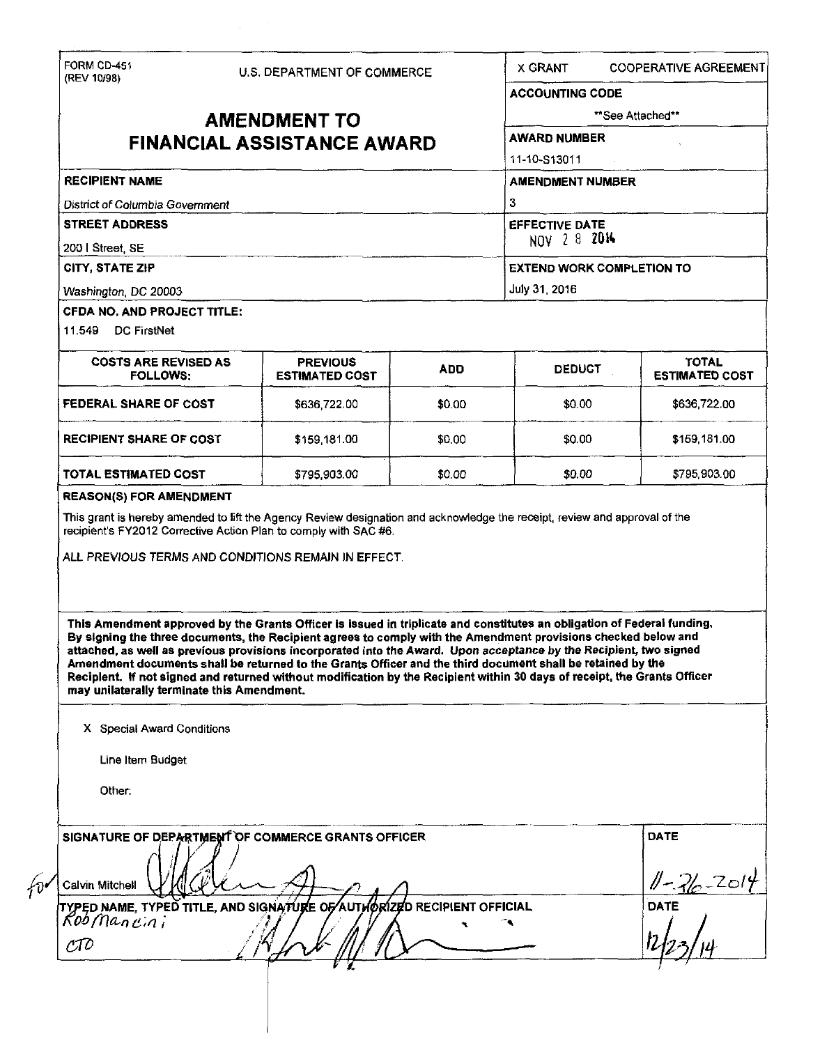| **See Attached**<br><b>AMENDMENT TO</b><br><b>AWARD NUMBER</b><br><b>FINANCIAL ASSISTANCE AWARD</b><br>11-10-S13011<br><b>RECIPIENT NAME</b><br><b>AMENDMENT NUMBER</b><br>3<br>District of Columbia Government<br><b>STREET ADDRESS</b><br><b>EFFECTIVE DATE</b><br>NOV 2 8 2014<br>200   Street, SE<br>CITY, STATE ZIP<br><b>EXTEND WORK COMPLETION TO</b><br>July 31, 2016<br>Washington, DC 20003<br>CFDA NO, AND PROJECT TITLE:<br>11.549 DC FirstNet<br><b>TOTAL</b><br><b>COSTS ARE REVISED AS</b><br><b>PREVIOUS</b><br><b>ADD</b><br><b>DEDUCT</b><br><b>FOLLOWS:</b><br><b>ESTIMATED COST</b><br>FEDERAL SHARE OF COST<br>\$0.00<br>\$636,722.00<br>\$636,722.00<br>\$0.00<br><b>RECIPIENT SHARE OF COST</b><br>\$159,181.00<br>\$0.00<br>\$0.00<br>\$159,181.00<br><b>TOTAL ESTIMATED COST</b><br>\$0.00<br>\$0.00<br>\$795,903.00<br>\$795,903.00<br><b>REASON(S) FOR AMENDMENT</b><br>This grant is hereby amended to lift the Agency Review designation and acknowledge the receipt, review and approval of the<br>recipient's FY2012 Corrective Action Plan to comply with SAC #6.<br>ALL PREVIOUS TERMS AND CONDITIONS REMAIN IN EFFECT.<br>This Amendment approved by the Grants Officer is issued in triplicate and constitutes an obligation of Federal funding.<br>By signing the three documents, the Recipient agrees to comply with the Amendment provisions checked below and<br>attached, as well as previous provisions incorporated into the Award. Upon acceptance by the Recipient, two signed<br>Amendment documents shall be returned to the Grants Officer and the third document shall be retained by the<br>Reciplent. If not signed and returned without modification by the Recipient within 30 days of receipt, the Grants Officer | (REV 10/98)                                                                                  |  | U.S. DEPARTMENT OF COMMERCE |  | <b>X GRANT</b>         | <b>COOPERATIVE AGREEMENT</b> |
|-------------------------------------------------------------------------------------------------------------------------------------------------------------------------------------------------------------------------------------------------------------------------------------------------------------------------------------------------------------------------------------------------------------------------------------------------------------------------------------------------------------------------------------------------------------------------------------------------------------------------------------------------------------------------------------------------------------------------------------------------------------------------------------------------------------------------------------------------------------------------------------------------------------------------------------------------------------------------------------------------------------------------------------------------------------------------------------------------------------------------------------------------------------------------------------------------------------------------------------------------------------------------------------------------------------------------------------------------------------------------------------------------------------------------------------------------------------------------------------------------------------------------------------------------------------------------------------------------------------------------------------------------------------------------------------------------------------------------------------------------------------------------|----------------------------------------------------------------------------------------------|--|-----------------------------|--|------------------------|------------------------------|
|                                                                                                                                                                                                                                                                                                                                                                                                                                                                                                                                                                                                                                                                                                                                                                                                                                                                                                                                                                                                                                                                                                                                                                                                                                                                                                                                                                                                                                                                                                                                                                                                                                                                                                                                                                         |                                                                                              |  |                             |  | <b>ACCOUNTING CODE</b> |                              |
|                                                                                                                                                                                                                                                                                                                                                                                                                                                                                                                                                                                                                                                                                                                                                                                                                                                                                                                                                                                                                                                                                                                                                                                                                                                                                                                                                                                                                                                                                                                                                                                                                                                                                                                                                                         |                                                                                              |  |                             |  |                        |                              |
| <b>ESTIMATED COST</b>                                                                                                                                                                                                                                                                                                                                                                                                                                                                                                                                                                                                                                                                                                                                                                                                                                                                                                                                                                                                                                                                                                                                                                                                                                                                                                                                                                                                                                                                                                                                                                                                                                                                                                                                                   |                                                                                              |  |                             |  |                        |                              |
|                                                                                                                                                                                                                                                                                                                                                                                                                                                                                                                                                                                                                                                                                                                                                                                                                                                                                                                                                                                                                                                                                                                                                                                                                                                                                                                                                                                                                                                                                                                                                                                                                                                                                                                                                                         |                                                                                              |  |                             |  |                        |                              |
|                                                                                                                                                                                                                                                                                                                                                                                                                                                                                                                                                                                                                                                                                                                                                                                                                                                                                                                                                                                                                                                                                                                                                                                                                                                                                                                                                                                                                                                                                                                                                                                                                                                                                                                                                                         |                                                                                              |  |                             |  |                        |                              |
|                                                                                                                                                                                                                                                                                                                                                                                                                                                                                                                                                                                                                                                                                                                                                                                                                                                                                                                                                                                                                                                                                                                                                                                                                                                                                                                                                                                                                                                                                                                                                                                                                                                                                                                                                                         |                                                                                              |  |                             |  |                        |                              |
|                                                                                                                                                                                                                                                                                                                                                                                                                                                                                                                                                                                                                                                                                                                                                                                                                                                                                                                                                                                                                                                                                                                                                                                                                                                                                                                                                                                                                                                                                                                                                                                                                                                                                                                                                                         |                                                                                              |  |                             |  |                        |                              |
|                                                                                                                                                                                                                                                                                                                                                                                                                                                                                                                                                                                                                                                                                                                                                                                                                                                                                                                                                                                                                                                                                                                                                                                                                                                                                                                                                                                                                                                                                                                                                                                                                                                                                                                                                                         |                                                                                              |  |                             |  |                        |                              |
|                                                                                                                                                                                                                                                                                                                                                                                                                                                                                                                                                                                                                                                                                                                                                                                                                                                                                                                                                                                                                                                                                                                                                                                                                                                                                                                                                                                                                                                                                                                                                                                                                                                                                                                                                                         |                                                                                              |  |                             |  |                        |                              |
|                                                                                                                                                                                                                                                                                                                                                                                                                                                                                                                                                                                                                                                                                                                                                                                                                                                                                                                                                                                                                                                                                                                                                                                                                                                                                                                                                                                                                                                                                                                                                                                                                                                                                                                                                                         |                                                                                              |  |                             |  |                        |                              |
|                                                                                                                                                                                                                                                                                                                                                                                                                                                                                                                                                                                                                                                                                                                                                                                                                                                                                                                                                                                                                                                                                                                                                                                                                                                                                                                                                                                                                                                                                                                                                                                                                                                                                                                                                                         |                                                                                              |  |                             |  |                        |                              |
|                                                                                                                                                                                                                                                                                                                                                                                                                                                                                                                                                                                                                                                                                                                                                                                                                                                                                                                                                                                                                                                                                                                                                                                                                                                                                                                                                                                                                                                                                                                                                                                                                                                                                                                                                                         |                                                                                              |  |                             |  |                        |                              |
|                                                                                                                                                                                                                                                                                                                                                                                                                                                                                                                                                                                                                                                                                                                                                                                                                                                                                                                                                                                                                                                                                                                                                                                                                                                                                                                                                                                                                                                                                                                                                                                                                                                                                                                                                                         |                                                                                              |  |                             |  |                        |                              |
|                                                                                                                                                                                                                                                                                                                                                                                                                                                                                                                                                                                                                                                                                                                                                                                                                                                                                                                                                                                                                                                                                                                                                                                                                                                                                                                                                                                                                                                                                                                                                                                                                                                                                                                                                                         |                                                                                              |  |                             |  |                        |                              |
|                                                                                                                                                                                                                                                                                                                                                                                                                                                                                                                                                                                                                                                                                                                                                                                                                                                                                                                                                                                                                                                                                                                                                                                                                                                                                                                                                                                                                                                                                                                                                                                                                                                                                                                                                                         |                                                                                              |  |                             |  |                        |                              |
|                                                                                                                                                                                                                                                                                                                                                                                                                                                                                                                                                                                                                                                                                                                                                                                                                                                                                                                                                                                                                                                                                                                                                                                                                                                                                                                                                                                                                                                                                                                                                                                                                                                                                                                                                                         |                                                                                              |  |                             |  |                        |                              |
|                                                                                                                                                                                                                                                                                                                                                                                                                                                                                                                                                                                                                                                                                                                                                                                                                                                                                                                                                                                                                                                                                                                                                                                                                                                                                                                                                                                                                                                                                                                                                                                                                                                                                                                                                                         | may unilaterally terminate this Amendment.<br>X Special Award Conditions<br>Line Item Budget |  |                             |  |                        |                              |
| <b>DATE</b><br>SIGNATURE OF DEPARTMENT OF COMMERCE GRANTS OFFICER<br>$1 - 26 - 2014$<br>Calvin Mitchell                                                                                                                                                                                                                                                                                                                                                                                                                                                                                                                                                                                                                                                                                                                                                                                                                                                                                                                                                                                                                                                                                                                                                                                                                                                                                                                                                                                                                                                                                                                                                                                                                                                                 | Other:                                                                                       |  |                             |  |                        |                              |

 $\label{eq:2} \frac{1}{2} \sum_{i=1}^n \frac{1}{2} \sum_{j=1}^n \frac{1}{2} \sum_{j=1}^n \frac{1}{2} \sum_{j=1}^n \frac{1}{2} \sum_{j=1}^n \frac{1}{2} \sum_{j=1}^n \frac{1}{2} \sum_{j=1}^n \frac{1}{2} \sum_{j=1}^n \frac{1}{2} \sum_{j=1}^n \frac{1}{2} \sum_{j=1}^n \frac{1}{2} \sum_{j=1}^n \frac{1}{2} \sum_{j=1}^n \frac{1}{2} \sum_{j=1}^n \frac{1}{$